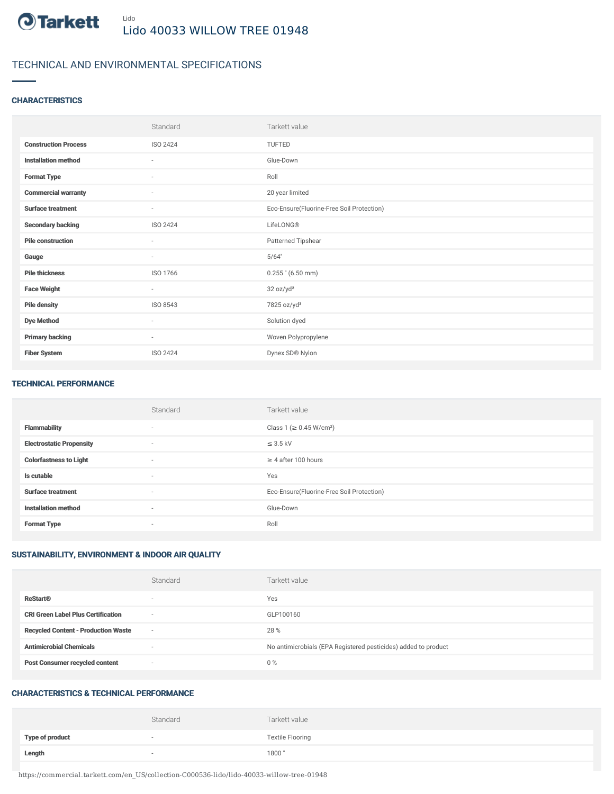

## TECHNICAL AND ENVIRONMENTAL SPECIFICATIONS

### **CHARACTERISTICS**

|                             | Standard                 | Tarkett value                             |
|-----------------------------|--------------------------|-------------------------------------------|
| <b>Construction Process</b> | ISO 2424                 | TUFTED                                    |
| <b>Installation method</b>  | ٠                        | Glue-Down                                 |
| <b>Format Type</b>          | ٠                        | Roll                                      |
| <b>Commercial warranty</b>  | ٠                        | 20 year limited                           |
| <b>Surface treatment</b>    | ٠                        | Eco-Ensure(Fluorine-Free Soil Protection) |
| <b>Secondary backing</b>    | ISO 2424                 | LifeLONG®                                 |
| <b>Pile construction</b>    | ×                        | Patterned Tipshear                        |
| Gauge                       | $\overline{\phantom{a}}$ | 5/64"                                     |
| <b>Pile thickness</b>       | ISO 1766                 | $0.255$ " (6.50 mm)                       |
| <b>Face Weight</b>          | $\overline{\phantom{a}}$ | 32 oz/yd <sup>2</sup>                     |
| <b>Pile density</b>         | ISO 8543                 | 7825 oz/yd <sup>3</sup>                   |
| <b>Dye Method</b>           | ٠                        | Solution dyed                             |
| <b>Primary backing</b>      | $\overline{\phantom{a}}$ | Woven Polypropylene                       |
| <b>Fiber System</b>         | ISO 2424                 | Dynex SD® Nylon                           |

#### TECHNICAL PERFORMANCE

|                                 | Standard                 | Tarkett value                             |
|---------------------------------|--------------------------|-------------------------------------------|
| <b>Flammability</b>             | $\sim$                   | Class 1 (≥ 0.45 W/cm <sup>2</sup> )       |
| <b>Electrostatic Propensity</b> | $\sim$                   | $\leq$ 3.5 kV                             |
| <b>Colorfastness to Light</b>   | $\sim$                   | $\geq$ 4 after 100 hours                  |
| Is cutable                      | $\overline{\phantom{a}}$ | Yes                                       |
| <b>Surface treatment</b>        | $\sim$                   | Eco-Ensure(Fluorine-Free Soil Protection) |
| <b>Installation method</b>      | $\sim$                   | Glue-Down                                 |
| <b>Format Type</b>              | $\overline{\phantom{a}}$ | Roll                                      |

### SUSTAINABILITY, ENVIRONMENT & INDOOR AIR QUALITY

|                                            | Standard                 | Tarkett value                                                  |
|--------------------------------------------|--------------------------|----------------------------------------------------------------|
| <b>ReStart®</b>                            | $\overline{\phantom{a}}$ | Yes                                                            |
| <b>CRI Green Label Plus Certification</b>  | $\overline{\phantom{a}}$ | GLP100160                                                      |
| <b>Recycled Content - Production Waste</b> | $\overline{\phantom{a}}$ | 28 %                                                           |
| <b>Antimicrobial Chemicals</b>             | <b>1999</b>              | No antimicrobials (EPA Registered pesticides) added to product |
| <b>Post Consumer recycled content</b>      | $\overline{\phantom{a}}$ | $0\%$                                                          |

#### CHARACTERISTICS & TECHNICAL PERFORMANCE

|                        | Standard                 | Tarkett value           |
|------------------------|--------------------------|-------------------------|
| <b>Type of product</b> | $\overline{\phantom{a}}$ | <b>Textile Flooring</b> |
| Length                 |                          | 1800"                   |

https://commercial.tarkett.com/en\_US/collection-C000536-lido/lido-40033-willow-tree-01948